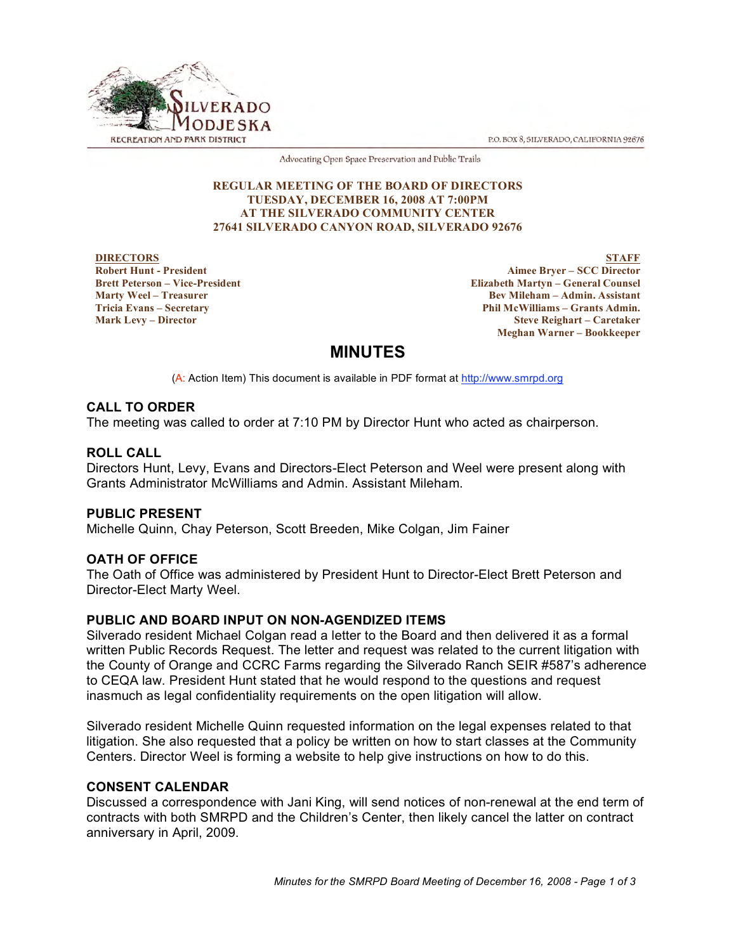P.O. BOX 8, SILVERADO, CALIFORNIA 92676



Advocating Open Space Preservation and Public Trails

#### **REGULAR MEETING OF THE BOARD OF DIRECTORS TUESDAY, DECEMBER 16, 2008 AT 7:00PM AT THE SILVERADO COMMUNITY CENTER 27641 SILVERADO CANYON ROAD, SILVERADO 92676**

**DIRECTORS Robert Hunt - President Brett Peterson – Vice-President Marty Weel – Treasurer Tricia Evans – Secretary Mark Levy – Director**

**STAFF Aimee Bryer – SCC Director Elizabeth Martyn – General Counsel Bev Mileham – Admin. Assistant Phil McWilliams – Grants Admin. Steve Reighart – Caretaker Meghan Warner – Bookkeeper**

# **MINUTES**

(A: Action Item) This document is available in PDF format at http://www.smrpd.org

# **CALL TO ORDER**

The meeting was called to order at 7:10 PM by Director Hunt who acted as chairperson.

# **ROLL CALL**

Directors Hunt, Levy, Evans and Directors-Elect Peterson and Weel were present along with Grants Administrator McWilliams and Admin. Assistant Mileham.

# **PUBLIC PRESENT**

Michelle Quinn, Chay Peterson, Scott Breeden, Mike Colgan, Jim Fainer

# **OATH OF OFFICE**

The Oath of Office was administered by President Hunt to Director-Elect Brett Peterson and Director-Elect Marty Weel.

# **PUBLIC AND BOARD INPUT ON NON-AGENDIZED ITEMS**

Silverado resident Michael Colgan read a letter to the Board and then delivered it as a formal written Public Records Request. The letter and request was related to the current litigation with the County of Orange and CCRC Farms regarding the Silverado Ranch SEIR #587's adherence to CEQA law. President Hunt stated that he would respond to the questions and request inasmuch as legal confidentiality requirements on the open litigation will allow.

Silverado resident Michelle Quinn requested information on the legal expenses related to that litigation. She also requested that a policy be written on how to start classes at the Community Centers. Director Weel is forming a website to help give instructions on how to do this.

# **CONSENT CALENDAR**

Discussed a correspondence with Jani King, will send notices of non-renewal at the end term of contracts with both SMRPD and the Children's Center, then likely cancel the latter on contract anniversary in April, 2009.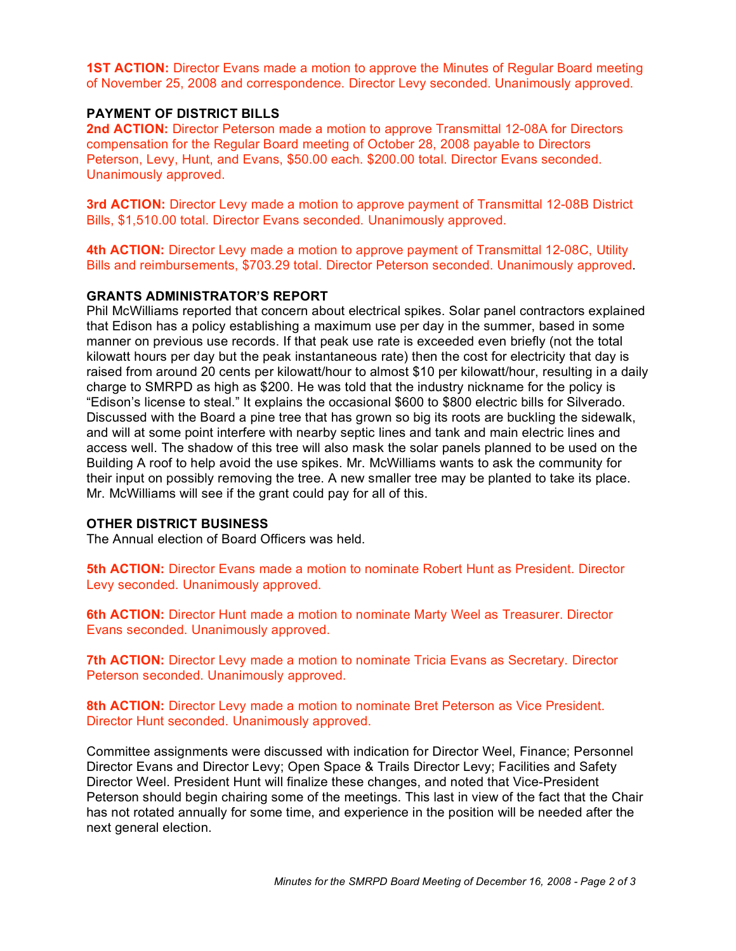**1ST ACTION:** Director Evans made a motion to approve the Minutes of Regular Board meeting of November 25, 2008 and correspondence. Director Levy seconded. Unanimously approved.

#### **PAYMENT OF DISTRICT BILLS**

**2nd ACTION:** Director Peterson made a motion to approve Transmittal 12-08A for Directors compensation for the Regular Board meeting of October 28, 2008 payable to Directors Peterson, Levy, Hunt, and Evans, \$50.00 each. \$200.00 total. Director Evans seconded. Unanimously approved.

**3rd ACTION:** Director Levy made a motion to approve payment of Transmittal 12-08B District Bills, \$1,510.00 total. Director Evans seconded. Unanimously approved.

**4th ACTION:** Director Levy made a motion to approve payment of Transmittal 12-08C, Utility Bills and reimbursements, \$703.29 total. Director Peterson seconded. Unanimously approved.

#### **GRANTS ADMINISTRATOR'S REPORT**

Phil McWilliams reported that concern about electrical spikes. Solar panel contractors explained that Edison has a policy establishing a maximum use per day in the summer, based in some manner on previous use records. If that peak use rate is exceeded even briefly (not the total kilowatt hours per day but the peak instantaneous rate) then the cost for electricity that day is raised from around 20 cents per kilowatt/hour to almost \$10 per kilowatt/hour, resulting in a daily charge to SMRPD as high as \$200. He was told that the industry nickname for the policy is "Edison's license to steal." It explains the occasional \$600 to \$800 electric bills for Silverado. Discussed with the Board a pine tree that has grown so big its roots are buckling the sidewalk, and will at some point interfere with nearby septic lines and tank and main electric lines and access well. The shadow of this tree will also mask the solar panels planned to be used on the Building A roof to help avoid the use spikes. Mr. McWilliams wants to ask the community for their input on possibly removing the tree. A new smaller tree may be planted to take its place. Mr. McWilliams will see if the grant could pay for all of this.

#### **OTHER DISTRICT BUSINESS**

The Annual election of Board Officers was held.

**5th ACTION:** Director Evans made a motion to nominate Robert Hunt as President. Director Levy seconded. Unanimously approved.

**6th ACTION:** Director Hunt made a motion to nominate Marty Weel as Treasurer. Director Evans seconded. Unanimously approved.

**7th ACTION:** Director Levy made a motion to nominate Tricia Evans as Secretary. Director Peterson seconded. Unanimously approved.

**8th ACTION:** Director Levy made a motion to nominate Bret Peterson as Vice President. Director Hunt seconded. Unanimously approved.

Committee assignments were discussed with indication for Director Weel, Finance; Personnel Director Evans and Director Levy; Open Space & Trails Director Levy; Facilities and Safety Director Weel. President Hunt will finalize these changes, and noted that Vice-President Peterson should begin chairing some of the meetings. This last in view of the fact that the Chair has not rotated annually for some time, and experience in the position will be needed after the next general election.